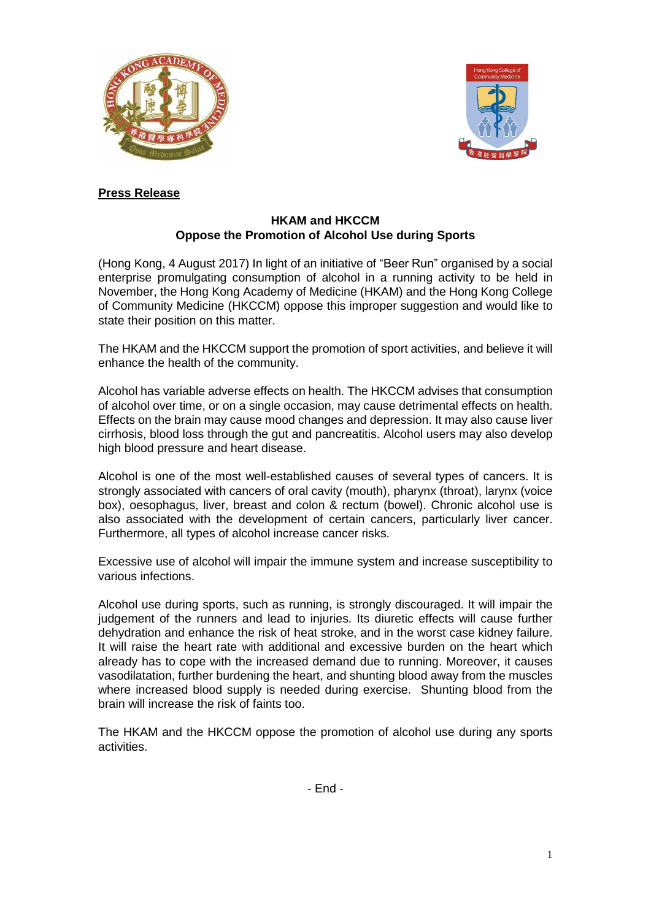



# **Press Release**

### **HKAM and HKCCM Oppose the Promotion of Alcohol Use during Sports**

(Hong Kong, 4 August 2017) In light of an initiative of "Beer Run" organised by a social enterprise promulgating consumption of alcohol in a running activity to be held in November, the Hong Kong Academy of Medicine (HKAM) and the Hong Kong College of Community Medicine (HKCCM) oppose this improper suggestion and would like to state their position on this matter.

The HKAM and the HKCCM support the promotion of sport activities, and believe it will enhance the health of the community.

Alcohol has variable adverse effects on health. The HKCCM advises that consumption of alcohol over time, or on a single occasion, may cause detrimental effects on health. Effects on the brain may cause mood changes and depression. It may also cause liver cirrhosis, blood loss through the gut and pancreatitis. Alcohol users may also develop high blood pressure and heart disease.

Alcohol is one of the most well-established causes of several types of cancers. It is strongly associated with cancers of oral cavity (mouth), pharynx (throat), larynx (voice box), oesophagus, liver, breast and colon & rectum (bowel). Chronic alcohol use is also associated with the development of certain cancers, particularly liver cancer. Furthermore, all types of alcohol increase cancer risks.

Excessive use of alcohol will impair the immune system and increase susceptibility to various infections.

Alcohol use during sports, such as running, is strongly discouraged. It will impair the judgement of the runners and lead to injuries. Its diuretic effects will cause further dehydration and enhance the risk of heat stroke, and in the worst case kidney failure. It will raise the heart rate with additional and excessive burden on the heart which already has to cope with the increased demand due to running. Moreover, it causes vasodilatation, further burdening the heart, and shunting blood away from the muscles where increased blood supply is needed during exercise. Shunting blood from the brain will increase the risk of faints too.

The HKAM and the HKCCM oppose the promotion of alcohol use during any sports activities.

- End -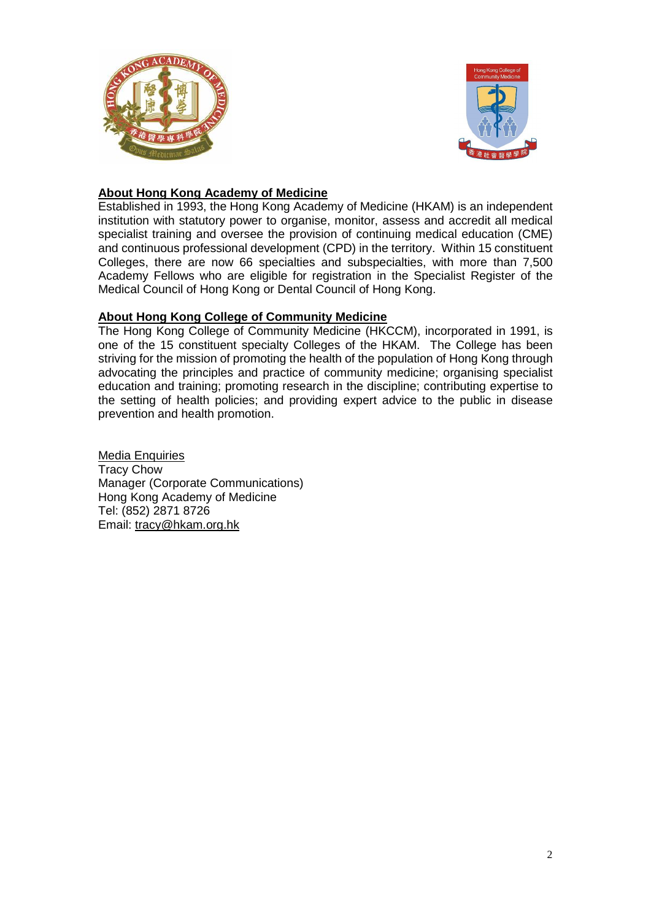



## **About Hong Kong Academy of Medicine**

Established in 1993, the Hong Kong Academy of Medicine (HKAM) is an independent institution with statutory power to organise, monitor, assess and accredit all medical specialist training and oversee the provision of continuing medical education (CME) and continuous professional development (CPD) in the territory. Within 15 constituent Colleges, there are now 66 specialties and subspecialties, with more than 7,500 Academy Fellows who are eligible for registration in the Specialist Register of the Medical Council of Hong Kong or Dental Council of Hong Kong.

### **About Hong Kong College of Community Medicine**

The Hong Kong College of Community Medicine (HKCCM), incorporated in 1991, is one of the 15 constituent specialty Colleges of the HKAM. The College has been striving for the mission of promoting the health of the population of Hong Kong through advocating the principles and practice of community medicine; organising specialist education and training; promoting research in the discipline; contributing expertise to the setting of health policies; and providing expert advice to the public in disease prevention and health promotion.

Media Enquiries Tracy Chow Manager (Corporate Communications) Hong Kong Academy of Medicine Tel: (852) 2871 8726 Email: [tracy@hkam.org.hk](mailto:tracy@hkam.org.hk)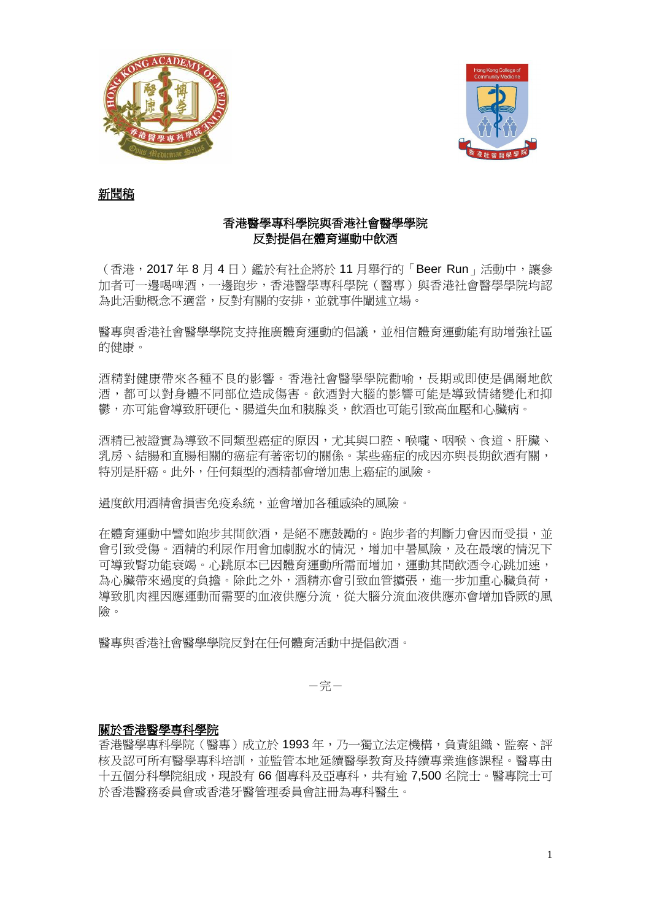



新聞稿

#### 香港醫學專科學院與香港社會醫學學院 反對提倡在體育運動中飲酒

(香港, 2017年8月4日)鑑於有社企將於11月舉行的「Beer Run」活動中,讓參 加者可一邊喝啤酒,一邊跑步,香港醫學專科學院(醫專)與香港社會醫學學院均認 為此活動概念不適當,反對有關的安排,並就事件闡述立場。

醫專與香港社會醫學學院支持推廣體育運動的倡議,並相信體育運動能有助增強社區 的健康。

酒精對健康帶來各種不良的影響。香港社會醫學學院勸喻,長期或即使是偶爾地飲 酒,都可以對身體不同部位造成傷害。飲酒對大腦的影響可能是導致情緒變化和抑 鬱,亦可能會導致肝硬化、腸道失血和胰腺炎,飲酒也可能引致高血壓和心臟病。

酒精已被證實為導致不同類型癌症的原因,尤其與口腔、喉嚨、咽喉丶食道、肝臟丶 乳房丶結腸和直腸相關的癌症有著密切的關係。某些癌症的成因亦與長期飲酒有關, 特別是肝癌。此外,任何類型的酒精都會增加患上癌症的風險。

過度飲用酒精會損害免疫系統,並會增加各種感染的風險。

在體育運動中譬如跑步其間飲酒,是絕不應鼓勵的。跑步者的判斷力會因而受損,並 會引致受傷。酒精的利尿作用會加劇脫水的情況,增加中暑風險,及在最壞的情況下 可導致腎功能衰竭。心跳原本已因體育運動所需而增加,運動其間飲酒令心跳加速, 為心臟帶來過度的負擔。除此之外,適精亦會引致血管擴張,進一步加重心臟負荷, 導致肌肉裡因應運動而需要的血液供應分流,從大腦分流血液供應亦會增加昏厥的風 險。

醫專與香港社會醫學學院反對在任何體育活動中提倡飲酒。

-完-

#### 關於香港醫學專科學院

香港醫學專科學院(醫專)成立於 1993 年,乃一獨立法定機構,負責組織、監察、評 核及認可所有醫學專科培訓,並監管本地延續醫學教育及持續專業進修課程。醫專由 十五個分科學院組成,現設有 66 個專科及亞專科,共有逾 7,500 名院士。醫專院士可 於香港醫務委員會或香港牙醫管理委員會註冊為專科醫生。